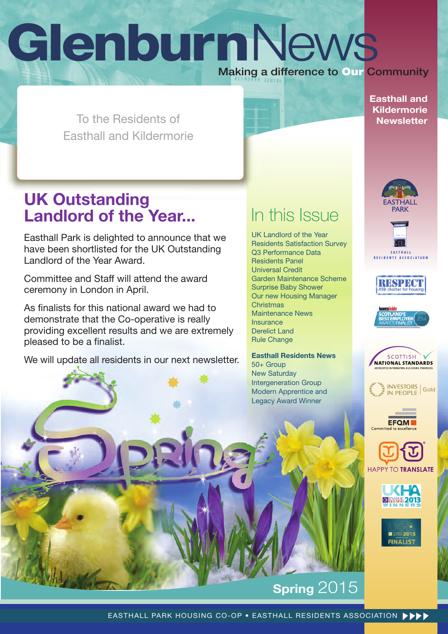# **Glenburn**News Making a difference to **Our** Community

**Easthall and Kildermorie Newsletter** 

To the Residents of Easthall and Kildermorie

## **UK Outstanding Landlord of the Year...**

Easthall Park is delighted to announce that we have been shortlisted for the UK Outstanding Landlord of the Year Award.

Committee and Staff will attend the award ceremony in London in April.

As finalists for this national award we had to demonstrate that the Co-operative is really providing excellent results and we are extremely pleased to be a finalist.

We will update all residents in our next newsletter.

## In this Issue

UK Landlord of the Year Residents Satisfaction Survey Q3 Performance Data Residents Panel Universal Credit Garden Maintenance Scheme Surprise Baby Shower Our new Housing Manager Christmas Maintenance News Insurance Derelict Land Rule Change

**Easthall Residents News** 50+ Group

New Saturday Intergeneration Group Modern Apprentice and Legacy Award Winner





















## **Spring 2015**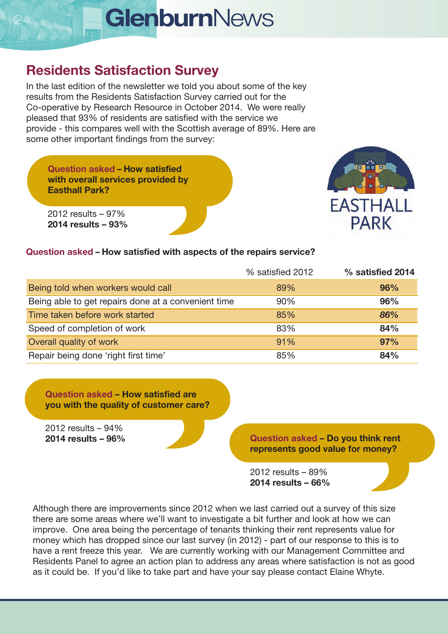#### **Residents Satisfaction Survey**

In the last edition of the newsletter we told you about some of the key results from the Residents Satisfaction Survey carried out for the Co-operative by Research Resource in October 2014. We were really pleased that 93% of residents are satisfied with the service we provide - this compares well with the Scottish average of 89%. Here are some other important findings from the survey:

**Question asked – How satisfied with overall services provided by Easthall Park?**



2012 results – 97% **2014 results – 93%**

#### **Question asked – How satisfied with aspects of the repairs service?**

|                                                     | % satisfied 2012 | % satisfied 2014 |
|-----------------------------------------------------|------------------|------------------|
| Being told when workers would call                  | 89%              | 96%              |
| Being able to get repairs done at a convenient time | 90%              | 96%              |
| Time taken before work started                      | 85%              | 86%              |
| Speed of completion of work                         | 83%              | 84%              |
| Overall quality of work                             | 91%              | 97%              |
| Repair being done 'right first time'                | 85%              | 84%              |

**Question asked – How satisfied are you with the quality of customer care?** 

2012 results – 94%

**2014 results – 96% Question asked – Do you think rent represents good value for money?**

> 2012 results – 89% **2014 results – 66%**

Although there are improvements since 2012 when we last carried out a survey of this size there are some areas where we'll want to investigate a bit further and look at how we can improve. One area being the percentage of tenants thinking their rent represents value for money which has dropped since our last survey (in 2012) - part of our response to this is to have a rent freeze this year. We are currently working with our Management Committee and Residents Panel to agree an action plan to address any areas where satisfaction is not as good as it could be. If you'd like to take part and have your say please contact Elaine Whyte.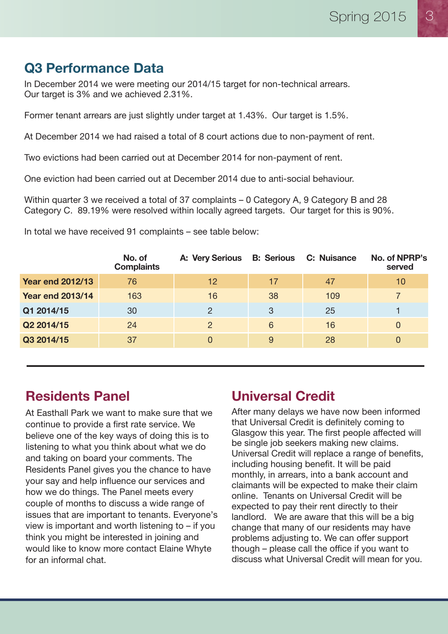#### **Q3 Performance Data**

In December 2014 we were meeting our 2014/15 target for non-technical arrears. Our target is 3% and we achieved 2.31%.

Former tenant arrears are just slightly under target at 1.43%. Our target is 1.5%.

At December 2014 we had raised a total of 8 court actions due to non-payment of rent.

Two evictions had been carried out at December 2014 for non-payment of rent.

One eviction had been carried out at December 2014 due to anti-social behaviour.

Within quarter 3 we received a total of 37 complaints – 0 Category A, 9 Category B and 28 Category C. 89.19% were resolved within locally agreed targets. Our target for this is 90%.

|                         | No. of<br><b>Complaints</b> | <b>A: Very Serious</b> | <b>B: Serious</b> | <b>C: Nuisance</b> | No. of NPRP's<br>served |
|-------------------------|-----------------------------|------------------------|-------------------|--------------------|-------------------------|
| <b>Year end 2012/13</b> | 76                          | 12                     | 17                | 47                 | 10                      |
| <b>Year end 2013/14</b> | 163                         | 16                     | 38                | 109                |                         |
| Q1 2014/15              | 30                          | $\overline{2}$         | 3                 | 25                 |                         |
| Q2 2014/15              | 24                          | 2                      | 6                 | 16                 | 0                       |
| Q3 2014/15              | 37                          | $\Omega$               | 9                 | 28                 | $\Omega$                |

In total we have received 91 complaints – see table below:

#### **Residents Panel**

At Easthall Park we want to make sure that we continue to provide a first rate service. We believe one of the key ways of doing this is to listening to what you think about what we do and taking on board your comments. The Residents Panel gives you the chance to have your say and help influence our services and how we do things. The Panel meets every couple of months to discuss a wide range of issues that are important to tenants. Everyone's view is important and worth listening to – if you think you might be interested in joining and would like to know more contact Elaine Whyte for an informal chat.

#### **Universal Credit**

After many delays we have now been informed that Universal Credit is definitely coming to Glasgow this year. The first people affected will be single job seekers making new claims. Universal Credit will replace a range of benefits, including housing benefit. It will be paid monthly, in arrears, into a bank account and claimants will be expected to make their claim online. Tenants on Universal Credit will be expected to pay their rent directly to their landlord. We are aware that this will be a big change that many of our residents may have problems adjusting to. We can offer support though – please call the office if you want to discuss what Universal Credit will mean for you.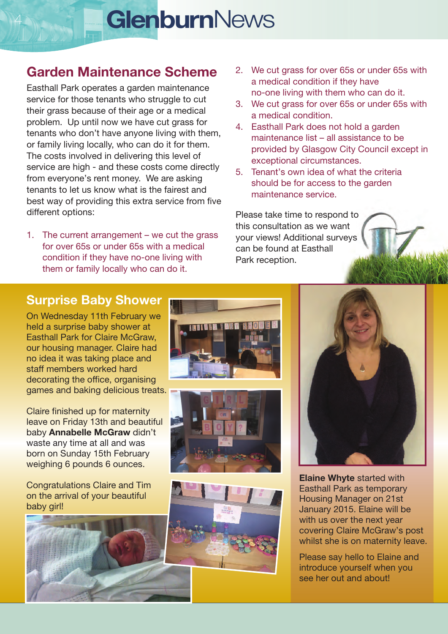#### **Garden Maintenance Scheme**

Easthall Park operates a garden maintenance service for those tenants who struggle to cut their grass because of their age or a medical problem. Up until now we have cut grass for tenants who don't have anyone living with them, or family living locally, who can do it for them. The costs involved in delivering this level of service are high - and these costs come directly from everyone's rent money. We are asking tenants to let us know what is the fairest and best way of providing this extra service from five different options:

1. The current arrangement – we cut the grass for over 65s or under 65s with a medical condition if they have no-one living with them or family locally who can do it.

- 2. We cut grass for over 65s or under 65s with a medical condition if they have no-one living with them who can do it.
- 3. We cut grass for over 65s or under 65s with a medical condition.
- 4. Easthall Park does not hold a garden maintenance list – all assistance to be provided by Glasgow City Council except in exceptional circumstances.
- 5. Tenant's own idea of what the criteria should be for access to the garden maintenance service.

Please take time to respond to this consultation as we want your views! Additional surveys can be found at Easthall Park reception.

#### **Surprise Baby Shower**

On Wednesday 11th February we held a surprise baby shower at Easthall Park for Claire McGraw, our housing manager. Claire had no idea it was taking place and staff members worked hard decorating the office, organising games and baking delicious treats.

Claire finished up for maternity leave on Friday 13th and beautiful baby **Annabelle McGraw** didn't waste any time at all and was born on Sunday 15th February weighing 6 pounds 6 ounces.

Congratulations Claire and Tim on the arrival of your beautiful baby girl!











**Elaine Whyte** started with Easthall Park as temporary Housing Manager on 21st January 2015. Elaine will be with us over the next year covering Claire McGraw's post whilst she is on maternity leave.

Please say hello to Elaine and introduce yourself when you see her out and about!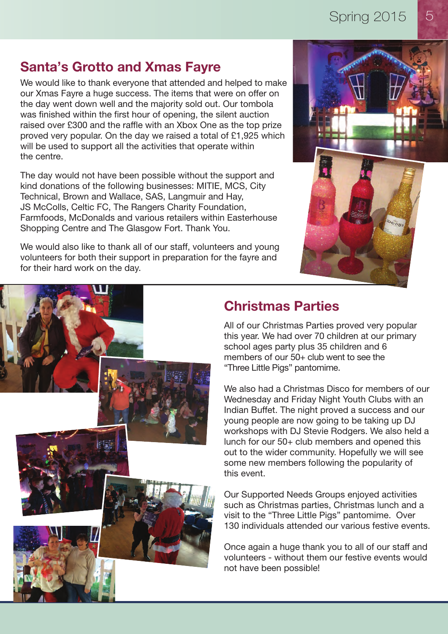#### **Santa's Grotto and Xmas Fayre**

We would like to thank everyone that attended and helped to make our Xmas Fayre a huge success. The items that were on offer on the day went down well and the majority sold out. Our tombola was finished within the first hour of opening, the silent auction raised over £300 and the raffle with an Xbox One as the top prize proved very popular. On the day we raised a total of £1,925 which will be used to support all the activities that operate within the centre.

The day would not have been possible without the support and kind donations of the following businesses: MITIE, MCS, City Technical, Brown and Wallace, SAS, Langmuir and Hay, JS McColls, Celtic FC, The Rangers Charity Foundation, Farmfoods, McDonalds and various retailers within Easterhouse Shopping Centre and The Glasgow Fort. Thank You.

We would also like to thank all of our staff, volunteers and young volunteers for both their support in preparation for the fayre and for their hard work on the day.







#### **Christmas Parties**

All of our Christmas Parties proved very popular this year. We had over 70 children at our primary school ages party plus 35 children and 6 members of our 50+ club went to see the "Three Little Pigs" pantomime.

We also had a Christmas Disco for members of our Wednesday and Friday Night Youth Clubs with an Indian Buffet. The night proved a success and our young people are now going to be taking up DJ workshops with DJ Stevie Rodgers. We also held a lunch for our 50+ club members and opened this out to the wider community. Hopefully we will see some new members following the popularity of this event.

Our Supported Needs Groups enjoyed activities such as Christmas parties, Christmas lunch and a visit to the "Three Little Pigs" pantomime. Over 130 individuals attended our various festive events.

Once again a huge thank you to all of our staff and volunteers - without them our festive events would not have been possible!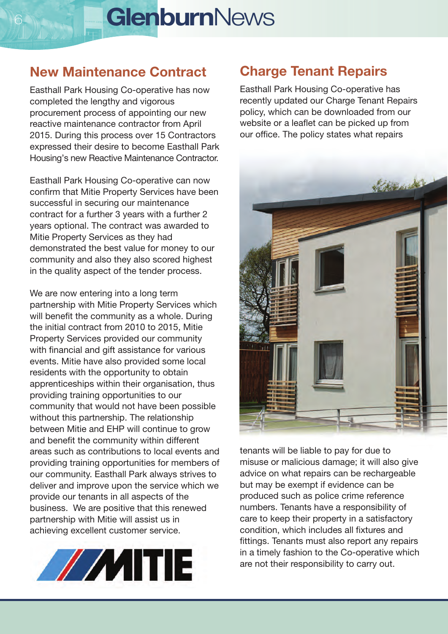#### **New Maintenance Contract**

Easthall Park Housing Co-operative has now completed the lengthy and vigorous procurement process of appointing our new reactive maintenance contractor from April 2015. During this process over 15 Contractors expressed their desire to become Easthall Park Housing's new Reactive Maintenance Contractor.

Easthall Park Housing Co-operative can now confirm that Mitie Property Services have been successful in securing our maintenance contract for a further 3 years with a further 2 years optional. The contract was awarded to Mitie Property Services as they had demonstrated the best value for money to our community and also they also scored highest in the quality aspect of the tender process.

We are now entering into a long term partnership with Mitie Property Services which will benefit the community as a whole. During the initial contract from 2010 to 2015, Mitie Property Services provided our community with financial and gift assistance for various events. Mitie have also provided some local residents with the opportunity to obtain apprenticeships within their organisation, thus providing training opportunities to our community that would not have been possible without this partnership. The relationship between Mitie and EHP will continue to grow and benefit the community within different areas such as contributions to local events and providing training opportunities for members of our community. Easthall Park always strives to deliver and improve upon the service which we provide our tenants in all aspects of the business. We are positive that this renewed partnership with Mitie will assist us in achieving excellent customer service.



#### **Charge Tenant Repairs**

Easthall Park Housing Co-operative has recently updated our Charge Tenant Repairs policy, which can be downloaded from our website or a leaflet can be picked up from our office. The policy states what repairs



tenants will be liable to pay for due to misuse or malicious damage; it will also give advice on what repairs can be rechargeable but may be exempt if evidence can be produced such as police crime reference numbers. Tenants have a responsibility of care to keep their property in a satisfactory condition, which includes all fixtures and fittings. Tenants must also report any repairs in a timely fashion to the Co-operative which are not their responsibility to carry out.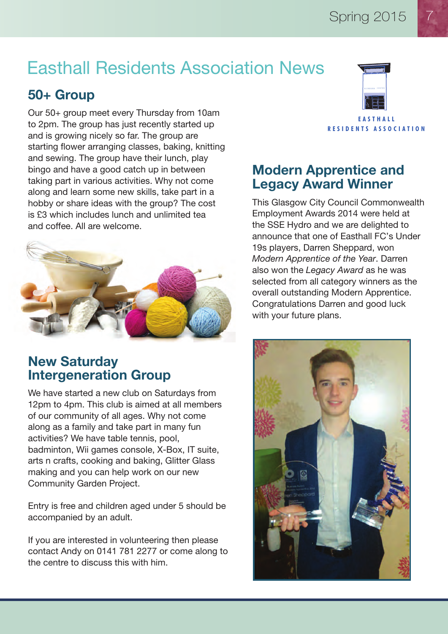# Easthall Residents Association News

#### **50+ Group**

Our 50+ group meet every Thursday from 10am to 2pm. The group has just recently started up and is growing nicely so far. The group are starting flower arranging classes, baking, knitting and sewing. The group have their lunch, play bingo and have a good catch up in between taking part in various activities. Why not come along and learn some new skills, take part in a hobby or share ideas with the group? The cost is £3 which includes lunch and unlimited tea and coffee. All are welcome.



#### **New Saturday Intergeneration Group**

We have started a new club on Saturdays from 12pm to 4pm. This club is aimed at all members of our community of all ages. Why not come along as a family and take part in many fun activities? We have table tennis, pool, badminton, Wii games console, X-Box, IT suite, arts n crafts, cooking and baking, Glitter Glass making and you can help work on our new Community Garden Project.

Entry is free and children aged under 5 should be accompanied by an adult.

If you are interested in volunteering then please contact Andy on 0141 781 2277 or come along to the centre to discuss this with him.



#### **Modern Apprentice and Legacy Award Winner**

This Glasgow City Council Commonwealth Employment Awards 2014 were held at the SSE Hydro and we are delighted to announce that one of Easthall FC's Under 19s players, Darren Sheppard, won *Modern Apprentice of the Year*. Darren also won the *Legacy Award* as he was selected from all category winners as the overall outstanding Modern Apprentice. Congratulations Darren and good luck with your future plans.